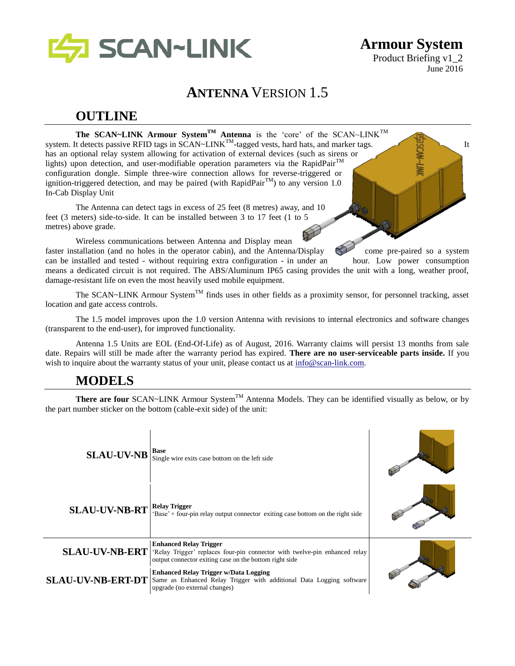

**Armour System** Product Briefing v1\_2 June 2016

# **ANTENNA** VERSION 1.5

# **OUTLINE**

**The SCAN~LINK Armour SystemTM Antenna** is the 'core' of the SCAN~LINKTM system. It detects passive RFID tags in SCAN~LINK<sup>TM</sup>-tagged vests, hard hats, and marker tags. has an optional relay system allowing for activation of external devices (such as sirens or lights) upon detection, and user-modifiable operation parameters via the RapidPair<sup>TM</sup> configuration dongle. Simple three-wire connection allows for reverse-triggered or ignition-triggered detection, and may be paired (with RapidPair<sup>TM</sup>) to any version 1.0 In-Cab Display Unit

The Antenna can detect tags in excess of 25 feet (8 metres) away, and 10 feet (3 meters) side-to-side. It can be installed between 3 to 17 feet (1 to 5 metres) above grade.

Wireless communications between Antenna and Display mean faster installation (and no holes in the operator cabin), and the Antenna/Display come pre-paired so a system can be installed and tested - without requiring extra configuration - in under an hour. Low power consumption means a dedicated circuit is not required. The ABS/Aluminum IP65 casing provides the unit with a long, weather proof, damage-resistant life on even the most heavily used mobile equipment.

The SCAN~LINK Armour System<sup>TM</sup> finds uses in other fields as a proximity sensor, for personnel tracking, asset location and gate access controls.

The 1.5 model improves upon the 1.0 version Antenna with revisions to internal electronics and software changes (transparent to the end-user), for improved functionality.

Antenna 1.5 Units are EOL (End-Of-Life) as of August, 2016. Warranty claims will persist 13 months from sale date. Repairs will still be made after the warranty period has expired. **There are no user-serviceable parts inside.** If you wish to inquire about the warranty status of your unit, please contact us at  $\frac{info@scan}{info@scan}$ .

# **MODELS**

**There are four** SCAN~LINK Armour System<sup>TM</sup> Antenna Models. They can be identified visually as below, or by the part number sticker on the bottom (cable-exit side) of the unit:

| <b>SLAU-UV-NB</b>        | <b>Base</b><br>Single wire exits case bottom on the left side                                                                                                         |  |
|--------------------------|-----------------------------------------------------------------------------------------------------------------------------------------------------------------------|--|
| <b>SLAU-UV-NB-RT</b>     | <b>Relay Trigger</b><br>'Base' + four-pin relay output connector exiting case bottom on the right side                                                                |  |
| <b>SLAU-UV-NB-ERT</b>    | <b>Enhanced Relay Trigger</b><br>'Relay Trigger' replaces four-pin connector with twelve-pin enhanced relay<br>output connector exiting case on the bottom right side |  |
| <b>SLAU-UV-NB-ERT-DT</b> | <b>Enhanced Relay Trigger w/Data Logging</b><br>Same as Enhanced Relay Trigger with additional Data Logging software<br>upgrade (no external changes)                 |  |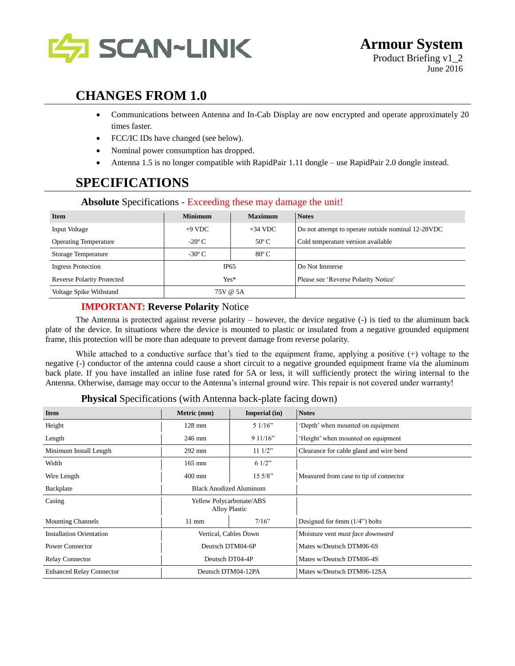

# **CHANGES FROM 1.0**

- Communications between Antenna and In-Cab Display are now encrypted and operate approximately 20 times faster.
- FCC/IC IDs have changed (see below).
- Nominal power consumption has dropped.
- Antenna 1.5 is no longer compatible with RapidPair 1.11 dongle use RapidPair 2.0 dongle instead.

# **SPECIFICATIONS**

| <b>Item</b>                       | <b>Minimum</b>        | <b>Maximum</b> | <b>Notes</b>                                       |
|-----------------------------------|-----------------------|----------------|----------------------------------------------------|
| Input Voltage                     | $+9$ VDC<br>$+34$ VDC |                | Do not attempt to operate outside nominal 12-28VDC |
| <b>Operating Temperature</b>      | $-20^{\circ}$ C       | $50^{\circ}$ C | Cold temperature version available                 |
| <b>Storage Temperature</b>        | $-30^{\circ}$ C       | $80^{\circ}$ C |                                                    |
| <b>Ingress Protection</b>         | IP65                  |                | Do Not Immerse                                     |
| <b>Reverse Polarity Protected</b> | $Yes*$                |                | Please see 'Reverse Polarity Notice'               |
| Voltage Spike Withstand           | 75V @ 5A              |                |                                                    |

#### **Absolute** Specifications - Exceeding these may damage the unit!

#### **IMPORTANT: Reverse Polarity** Notice

The Antenna is protected against reverse polarity – however, the device negative (-) is tied to the aluminum back plate of the device. In situations where the device is mounted to plastic or insulated from a negative grounded equipment frame, this protection will be more than adequate to prevent damage from reverse polarity.

While attached to a conductive surface that's tied to the equipment frame, applying a positive (+) voltage to the negative (-) conductor of the antenna could cause a short circuit to a negative grounded equipment frame via the aluminum back plate. If you have installed an inline fuse rated for 5A or less, it will sufficiently protect the wiring internal to the Antenna. Otherwise, damage may occur to the Antenna's internal ground wire. This repair is not covered under warranty!

|  | Physical Specifications (with Antenna back-plate facing down) |  |
|--|---------------------------------------------------------------|--|
|  |                                                               |  |

| <b>Item</b>                     | Metric (mm)<br>Imperial (in)                     |                  | <b>Notes</b>                            |
|---------------------------------|--------------------------------------------------|------------------|-----------------------------------------|
| Height                          | $128$ mm                                         | 51/16"           | 'Depth' when mounted on equipment       |
| Length                          | 246 mm                                           | 911/16"          | 'Height' when mounted on equipment      |
| Minimum Install Length          | 292 mm                                           | $11 \frac{1}{2}$ | Clearance for cable gland and wire bend |
| Width                           | $165$ mm                                         | 61/2"            |                                         |
| Wire Length                     | 15.5/8"<br>$400$ mm                              |                  | Measured from case to tip of connector  |
| Backplate                       | <b>Black Anodized Aluminum</b>                   |                  |                                         |
| Casing                          | Yellow Polycarbonate/ABS<br><b>Alloy Plastic</b> |                  |                                         |
| <b>Mounting Channels</b>        | 7/16"<br>$11 \text{ mm}$                         |                  | Designed for 6mm $(1/4)$ bolts          |
| <b>Installation Orientation</b> | Vertical, Cables Down                            |                  | Moisture vent must face downward        |
| <b>Power Connector</b>          | Deutsch DTM04-6P                                 |                  | Mates w/Deutsch DTM06-6S                |
| <b>Relay Connector</b>          | Deutsch DT04-4P                                  |                  | Mates w/Deutsch DTM06-4S                |
| <b>Enhanced Relay Connector</b> | Deutsch DTM04-12PA                               |                  | Mates w/Deutsch DTM06-12SA              |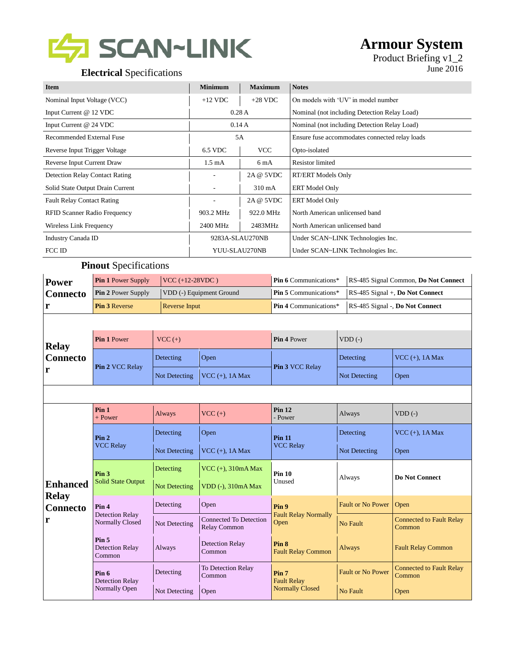

# **Armour System**

Product Briefing v1\_2

| <b>Item</b>                           | <b>Minimum</b>   | <b>Maximum</b>   | <b>Notes</b>                                   |
|---------------------------------------|------------------|------------------|------------------------------------------------|
| Nominal Input Voltage (VCC)           | $+12$ VDC        | $+28$ VDC        | On models with 'UV' in model number            |
| Input Current @ 12 VDC                | 0.28A            |                  | Nominal (not including Detection Relay Load)   |
| Input Current @ 24 VDC                | 0.14A            |                  | Nominal (not including Detection Relay Load)   |
| Recommended External Fuse             | 5A               |                  | Ensure fuse accommodates connected relay loads |
| Reverse Input Trigger Voltage         | 6.5 VDC          | <b>VCC</b>       | Opto-isolated                                  |
| Reverse Input Current Draw            | $1.5 \text{ mA}$ | 6 mA             | <b>Resistor</b> limited                        |
| <b>Detection Relay Contact Rating</b> |                  | 2A @ 5VDC        | <b>RT/ERT Models Only</b>                      |
| Solid State Output Drain Current      |                  | $310 \text{ mA}$ | <b>ERT</b> Model Only                          |
| <b>Fault Relay Contact Rating</b>     |                  | 2A @ 5VDC        | <b>ERT</b> Model Only                          |
| <b>RFID Scanner Radio Frequency</b>   | 903.2 MHz        | 922.0 MHz        | North American unlicensed band                 |
| Wireless Link Frequency               | 2400 MHz         | 2483MHz          | North American unlicensed band                 |
| Industry Canada ID                    | 9283A-SLAU270NB  |                  | Under SCAN~LINK Technologies Inc.              |
| FCC ID                                | YUU-SLAU270NB    |                  | Under SCAN~LINK Technologies Inc.              |

#### **Pinout** Specifications

| <b>Power</b> | <b>Pin 1 Power Supply</b> | $ VCC (+12-28VDC)$       | <b>Pin 6</b> Communications $*$ | RS-485 Signal Common, Do Not Connect     |
|--------------|---------------------------|--------------------------|---------------------------------|------------------------------------------|
| Connecto     | <b>Pin 2 Power Supply</b> | VDD (-) Equipment Ground | <b>Pin 5</b> Communications $*$ | $RS-485$ Signal +, <b>Do Not Connect</b> |
|              | <b>Pin 3 Reverse</b>      | <b>Reverse Input</b>     | <b>Pin 4 Communications*</b>    | RS-485 Signal -, Do Not Connect          |

| <b>Relay</b>    | <b>Pin 1 Power</b>     | $VCC (+)$ |                                       | <b>Pin 4 Power</b>     | $VDD$ (-)     |                            |
|-----------------|------------------------|-----------|---------------------------------------|------------------------|---------------|----------------------------|
| <b>Connecto</b> | <b>Pin 2 VCC Relay</b> | Detecting | Open                                  | <b>Pin 3 VCC Relay</b> | Detecting     | $\vert$ VCC $(+)$ , 1A Max |
| r               |                        |           | Not Detecting $\vert$ VCC (+), 1A Max |                        | Not Detecting | Open                       |

|                                 | Pin <sub>1</sub><br>$+$ Power                        | Always        | $VCC (+)$                              | Pin 12<br>- Power                            | Always                   | $VDD$ (-)                                 |
|---------------------------------|------------------------------------------------------|---------------|----------------------------------------|----------------------------------------------|--------------------------|-------------------------------------------|
| Pin 2<br><b>VCC Relay</b>       |                                                      | Detecting     | Open                                   | <b>Pin 11</b>                                | Detecting                | VCC $(+)$ , 1A Max                        |
|                                 |                                                      | Not Detecting | $VCC$ (+), $1A Max$                    | <b>VCC Relay</b>                             | Not Detecting            | Open                                      |
|                                 | Pin <sub>3</sub>                                     | Detecting     | VCC $(+)$ , 310mA Max                  | <b>Pin 10</b>                                |                          | <b>Do Not Connect</b>                     |
| Enhanced                        | <b>Solid State Output</b>                            | Not Detecting | VDD (-), 310mA Max                     | Unused                                       | Always                   |                                           |
| <b>Relay</b><br><b>Connecto</b> | Pin <sub>4</sub>                                     | Detecting     | Open                                   | Pin 9<br><b>Fault Relay Normally</b><br>Open | <b>Fault or No Power</b> | Open                                      |
| r                               | <b>Detection Relay</b><br>Normally Closed            | Not Detecting | Connected To Detection<br>Relay Common |                                              | No Fault                 | <b>Connected to Fault Relay</b><br>Common |
|                                 | Pin <sub>5</sub><br><b>Detection Relay</b><br>Common | Always        | <b>Detection Relay</b><br>Common       | Pin 8<br><b>Fault Relay Common</b>           | Always                   | <b>Fault Relay Common</b>                 |
|                                 | Pin 6<br><b>Detection Relay</b>                      | Detecting     | To Detection Relay<br>Common           | Pin <sub>7</sub><br><b>Fault Relay</b>       | <b>Fault or No Power</b> | <b>Connected to Fault Relay</b><br>Common |
|                                 | Normally Open                                        | Not Detecting | Open                                   | <b>Normally Closed</b>                       | No Fault                 | Open                                      |